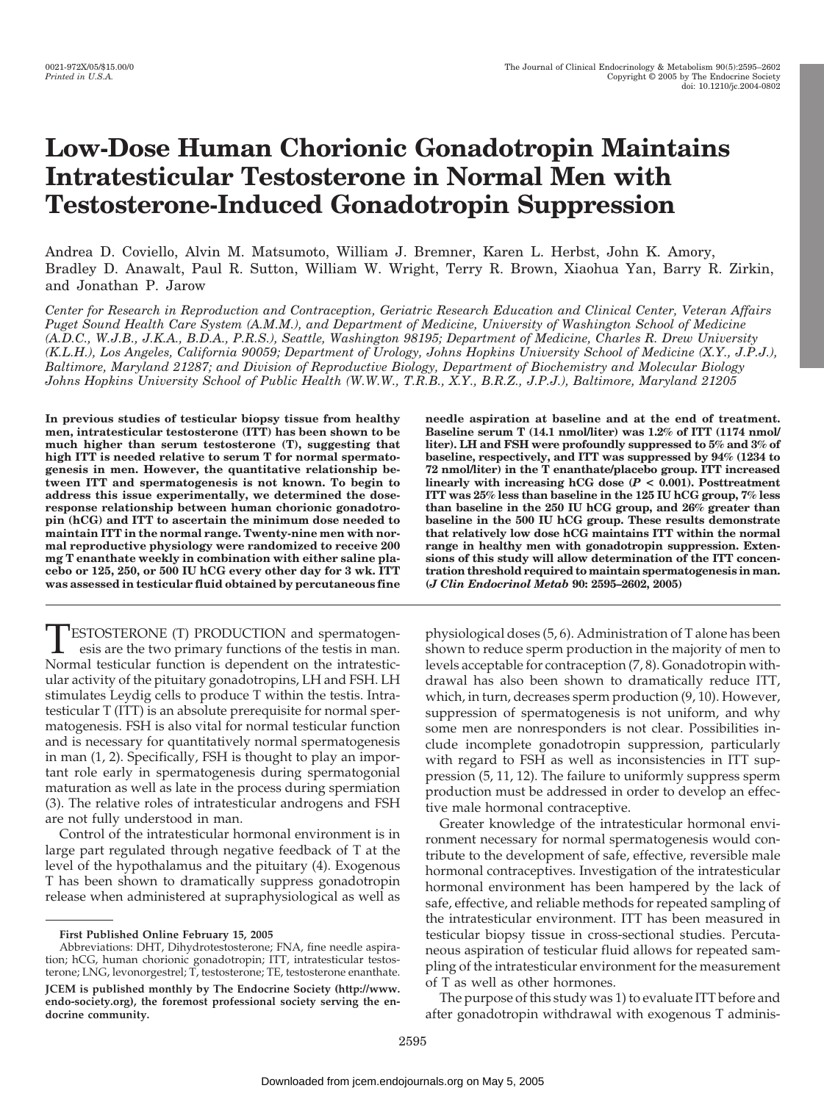# **Low-Dose Human Chorionic Gonadotropin Maintains Intratesticular Testosterone in Normal Men with Testosterone-Induced Gonadotropin Suppression**

Andrea D. Coviello, Alvin M. Matsumoto, William J. Bremner, Karen L. Herbst, John K. Amory, Bradley D. Anawalt, Paul R. Sutton, William W. Wright, Terry R. Brown, Xiaohua Yan, Barry R. Zirkin, and Jonathan P. Jarow

*Center for Research in Reproduction and Contraception, Geriatric Research Education and Clinical Center, Veteran Affairs Puget Sound Health Care System (A.M.M.), and Department of Medicine, University of Washington School of Medicine (A.D.C., W.J.B., J.K.A., B.D.A., P.R.S.), Seattle, Washington 98195; Department of Medicine, Charles R. Drew University (K.L.H.), Los Angeles, California 90059; Department of Urology, Johns Hopkins University School of Medicine (X.Y., J.P.J.), Baltimore, Maryland 21287; and Division of Reproductive Biology, Department of Biochemistry and Molecular Biology Johns Hopkins University School of Public Health (W.W.W., T.R.B., X.Y., B.R.Z., J.P.J.), Baltimore, Maryland 21205*

**In previous studies of testicular biopsy tissue from healthy men, intratesticular testosterone (ITT) has been shown to be much higher than serum testosterone (T), suggesting that high ITT is needed relative to serum T for normal spermatogenesis in men. However, the quantitative relationship between ITT and spermatogenesis is not known. To begin to address this issue experimentally, we determined the doseresponse relationship between human chorionic gonadotropin (hCG) and ITT to ascertain the minimum dose needed to maintain ITT in the normal range. Twenty-nine men with normal reproductive physiology were randomized to receive 200 mg T enanthate weekly in combination with either saline placebo or 125, 250, or 500 IU hCG every other day for 3 wk. ITT was assessed in testicular fluid obtained by percutaneous fine**

TESTOSTERONE (T) PRODUCTION and spermatogenesis are the two primary functions of the testis in man. Normal testicular function is dependent on the intratesticular activity of the pituitary gonadotropins, LH and FSH. LH stimulates Leydig cells to produce T within the testis. Intratesticular T (ITT) is an absolute prerequisite for normal spermatogenesis. FSH is also vital for normal testicular function and is necessary for quantitatively normal spermatogenesis in man (1, 2). Specifically, FSH is thought to play an important role early in spermatogenesis during spermatogonial maturation as well as late in the process during spermiation (3). The relative roles of intratesticular androgens and FSH are not fully understood in man.

Control of the intratesticular hormonal environment is in large part regulated through negative feedback of T at the level of the hypothalamus and the pituitary (4). Exogenous T has been shown to dramatically suppress gonadotropin release when administered at supraphysiological as well as **needle aspiration at baseline and at the end of treatment. Baseline serum T (14.1 nmol/liter) was 1.2% of ITT (1174 nmol/ liter). LH and FSH were profoundly suppressed to 5% and 3% of baseline, respectively, and ITT was suppressed by 94% (1234 to 72 nmol/liter) in the T enanthate/placebo group. ITT increased linearly with increasing hCG dose (***P* **< 0.001). Posttreatment ITT was 25% less than baseline in the 125 IU hCG group, 7% less than baseline in the 250 IU hCG group, and 26% greater than baseline in the 500 IU hCG group. These results demonstrate that relatively low dose hCG maintains ITT within the normal range in healthy men with gonadotropin suppression. Extensions of this study will allow determination of the ITT concentration threshold required to maintain spermatogenesis in man. (***J Clin Endocrinol Metab* **90: 2595–2602, 2005)**

physiological doses (5, 6). Administration of T alone has been shown to reduce sperm production in the majority of men to levels acceptable for contraception (7, 8). Gonadotropin withdrawal has also been shown to dramatically reduce ITT, which, in turn, decreases sperm production (9, 10). However, suppression of spermatogenesis is not uniform, and why some men are nonresponders is not clear. Possibilities include incomplete gonadotropin suppression, particularly with regard to FSH as well as inconsistencies in ITT suppression (5, 11, 12). The failure to uniformly suppress sperm production must be addressed in order to develop an effective male hormonal contraceptive.

Greater knowledge of the intratesticular hormonal environment necessary for normal spermatogenesis would contribute to the development of safe, effective, reversible male hormonal contraceptives. Investigation of the intratesticular hormonal environment has been hampered by the lack of safe, effective, and reliable methods for repeated sampling of the intratesticular environment. ITT has been measured in testicular biopsy tissue in cross-sectional studies. Percutaneous aspiration of testicular fluid allows for repeated sampling of the intratesticular environment for the measurement of T as well as other hormones.

The purpose of this study was 1) to evaluate ITT before and after gonadotropin withdrawal with exogenous T adminis-

**First Published Online February 15, 2005**

Abbreviations: DHT, Dihydrotestosterone; FNA, fine needle aspiration; hCG, human chorionic gonadotropin; ITT, intratesticular testosterone; LNG, levonorgestrel; T, testosterone; TE, testosterone enanthate. **JCEM is published monthly by The Endocrine Society (http://www. endo-society.org), the foremost professional society serving the endocrine community.**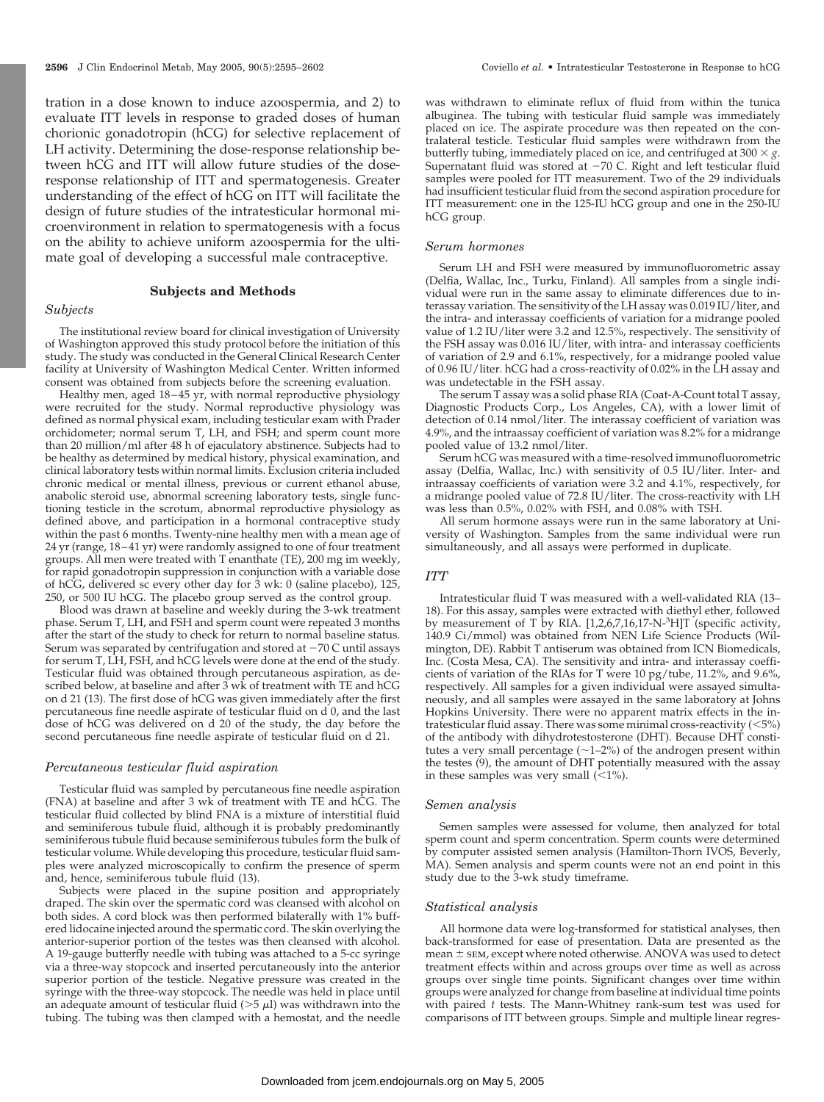tration in a dose known to induce azoospermia, and 2) to evaluate ITT levels in response to graded doses of human chorionic gonadotropin (hCG) for selective replacement of LH activity. Determining the dose-response relationship between hCG and ITT will allow future studies of the doseresponse relationship of ITT and spermatogenesis. Greater understanding of the effect of hCG on ITT will facilitate the design of future studies of the intratesticular hormonal microenvironment in relation to spermatogenesis with a focus on the ability to achieve uniform azoospermia for the ultimate goal of developing a successful male contraceptive.

## **Subjects and Methods**

# *Subjects*

The institutional review board for clinical investigation of University of Washington approved this study protocol before the initiation of this study. The study was conducted in the General Clinical Research Center facility at University of Washington Medical Center. Written informed consent was obtained from subjects before the screening evaluation.

Healthy men, aged 18-45 yr, with normal reproductive physiology were recruited for the study. Normal reproductive physiology was defined as normal physical exam, including testicular exam with Prader orchidometer; normal serum T, LH, and FSH; and sperm count more than 20 million/ml after 48 h of ejaculatory abstinence. Subjects had to be healthy as determined by medical history, physical examination, and clinical laboratory tests within normal limits. Exclusion criteria included chronic medical or mental illness, previous or current ethanol abuse, anabolic steroid use, abnormal screening laboratory tests, single functioning testicle in the scrotum, abnormal reproductive physiology as defined above, and participation in a hormonal contraceptive study within the past 6 months. Twenty-nine healthy men with a mean age of 24 yr (range, 18 – 41 yr) were randomly assigned to one of four treatment groups. All men were treated with T enanthate (TE), 200 mg im weekly, for rapid gonadotropin suppression in conjunction with a variable dose of hCG, delivered sc every other day for 3 wk: 0 (saline placebo), 125, 250, or 500 IU hCG. The placebo group served as the control group.

Blood was drawn at baseline and weekly during the 3-wk treatment phase. Serum T, LH, and FSH and sperm count were repeated 3 months after the start of the study to check for return to normal baseline status. Serum was separated by centrifugation and stored at  $-70$  C until assays for serum T, LH, FSH, and hCG levels were done at the end of the study. Testicular fluid was obtained through percutaneous aspiration, as described below, at baseline and after  $3 \text{ wK}$  of treatment with TE and hCG on d 21 (13). The first dose of hCG was given immediately after the first percutaneous fine needle aspirate of testicular fluid on d 0, and the last dose of hCG was delivered on d 20 of the study, the day before the second percutaneous fine needle aspirate of testicular fluid on d 21.

#### *Percutaneous testicular fluid aspiration*

Testicular fluid was sampled by percutaneous fine needle aspiration (FNA) at baseline and after 3 wk of treatment with TE and hCG. The testicular fluid collected by blind FNA is a mixture of interstitial fluid and seminiferous tubule fluid, although it is probably predominantly seminiferous tubule fluid because seminiferous tubules form the bulk of testicular volume. While developing this procedure, testicular fluid samples were analyzed microscopically to confirm the presence of sperm and, hence, seminiferous tubule fluid (13).

Subjects were placed in the supine position and appropriately draped. The skin over the spermatic cord was cleansed with alcohol on both sides. A cord block was then performed bilaterally with 1% buffered lidocaine injected around the spermatic cord. The skin overlying the anterior-superior portion of the testes was then cleansed with alcohol. A 19-gauge butterfly needle with tubing was attached to a 5-cc syringe via a three-way stopcock and inserted percutaneously into the anterior superior portion of the testicle. Negative pressure was created in the syringe with the three-way stopcock. The needle was held in place until an adequate amount of testicular fluid ( $>5 \mu$ l) was withdrawn into the tubing. The tubing was then clamped with a hemostat, and the needle

was withdrawn to eliminate reflux of fluid from within the tunica albuginea. The tubing with testicular fluid sample was immediately placed on ice. The aspirate procedure was then repeated on the contralateral testicle. Testicular fluid samples were withdrawn from the butterfly tubing, immediately placed on ice, and centrifuged at  $300 \times g$ . Supernatant fluid was stored at  $-70$  C. Right and left testicular fluid samples were pooled for ITT measurement. Two of the 29 individuals had insufficient testicular fluid from the second aspiration procedure for ITT measurement: one in the 125-IU hCG group and one in the 250-IU hCG group.

## *Serum hormones*

Serum LH and FSH were measured by immunofluorometric assay (Delfia, Wallac, Inc., Turku, Finland). All samples from a single individual were run in the same assay to eliminate differences due to interassay variation. The sensitivity of the LH assay was 0.019 IU/liter, and the intra- and interassay coefficients of variation for a midrange pooled value of 1.2 IU/liter were 3.2 and 12.5%, respectively. The sensitivity of the FSH assay was 0.016 IU/liter, with intra- and interassay coefficients of variation of 2.9 and 6.1%, respectively, for a midrange pooled value of 0.96 IU/liter. hCG had a cross-reactivity of 0.02% in the LH assay and was undetectable in the FSH assay.

The serum T assay was a solid phase RIA (Coat-A-Count total T assay, Diagnostic Products Corp., Los Angeles, CA), with a lower limit of detection of 0.14 nmol/liter. The interassay coefficient of variation was 4.9%, and the intraassay coefficient of variation was 8.2% for a midrange pooled value of 13.2 nmol/liter.

Serum hCG was measured with a time-resolved immunofluorometric assay (Delfia, Wallac, Inc.) with sensitivity of 0.5 IU/liter. Inter- and intraassay coefficients of variation were 3.2 and 4.1%, respectively, for a midrange pooled value of 72.8 IU/liter. The cross-reactivity with LH was less than 0.5%, 0.02% with FSH, and 0.08% with TSH.

All serum hormone assays were run in the same laboratory at University of Washington. Samples from the same individual were run simultaneously, and all assays were performed in duplicate.

#### *ITT*

Intratesticular fluid T was measured with a well-validated RIA (13– 18). For this assay, samples were extracted with diethyl ether, followed by measurement of T by RIA. [1,2,6,7,16,17-N-<sup>3</sup>H]T (specific activity, 140.9 Ci/mmol) was obtained from NEN Life Science Products (Wilmington, DE). Rabbit T antiserum was obtained from ICN Biomedicals, Inc. (Costa Mesa, CA). The sensitivity and intra- and interassay coefficients of variation of the RIAs for T were 10 pg/tube, 11.2%, and 9.6%, respectively. All samples for a given individual were assayed simultaneously, and all samples were assayed in the same laboratory at Johns Hopkins University. There were no apparent matrix effects in the intratesticular fluid assay. There was some minimal cross-reactivity  $(<5\%)$ of the antibody with dihydrotestosterone (DHT). Because DHT constitutes a very small percentage  $(\sim1-2\%)$  of the androgen present within the testes (9), the amount of DHT potentially measured with the assay in these samples was very small  $(\leq 1\%)$ .

#### *Semen analysis*

Semen samples were assessed for volume, then analyzed for total sperm count and sperm concentration. Sperm counts were determined by computer assisted semen analysis (Hamilton-Thorn IVOS, Beverly, MA). Semen analysis and sperm counts were not an end point in this study due to the 3-wk study timeframe.

## *Statistical analysis*

All hormone data were log-transformed for statistical analyses, then back-transformed for ease of presentation. Data are presented as the mean  $\pm$  sEM, except where noted otherwise. ANOVA was used to detect treatment effects within and across groups over time as well as across groups over single time points. Significant changes over time within groups were analyzed for change from baseline at individual time points with paired *t* tests. The Mann-Whitney rank-sum test was used for comparisons of ITT between groups. Simple and multiple linear regres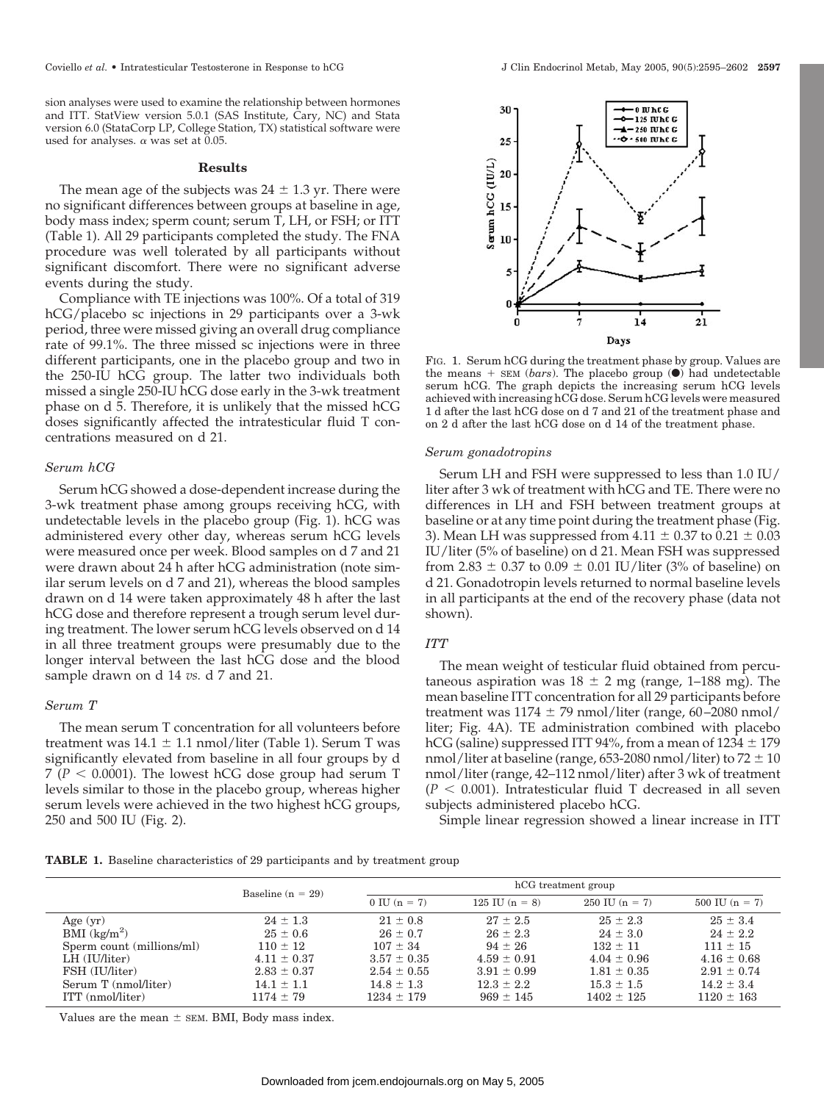sion analyses were used to examine the relationship between hormones and ITT. StatView version 5.0.1 (SAS Institute, Cary, NC) and Stata version 6.0 (StataCorp LP, College Station, TX) statistical software were used for analyses.  $\alpha$  was set at 0.05.

#### **Results**

The mean age of the subjects was  $24 \pm 1.3$  yr. There were no significant differences between groups at baseline in age, body mass index; sperm count; serum T, LH, or FSH; or ITT (Table 1). All 29 participants completed the study. The FNA procedure was well tolerated by all participants without significant discomfort. There were no significant adverse events during the study.

Compliance with TE injections was 100%. Of a total of 319 hCG/placebo sc injections in 29 participants over a 3-wk period, three were missed giving an overall drug compliance rate of 99.1%. The three missed sc injections were in three different participants, one in the placebo group and two in the 250-IU hCG group. The latter two individuals both missed a single 250-IU hCG dose early in the 3-wk treatment phase on d 5. Therefore, it is unlikely that the missed hCG doses significantly affected the intratesticular fluid T concentrations measured on d 21.

# *Serum hCG*

Serum hCG showed a dose-dependent increase during the 3-wk treatment phase among groups receiving hCG, with undetectable levels in the placebo group (Fig. 1). hCG was administered every other day, whereas serum hCG levels were measured once per week. Blood samples on d 7 and 21 were drawn about 24 h after hCG administration (note similar serum levels on d 7 and 21), whereas the blood samples drawn on d 14 were taken approximately 48 h after the last hCG dose and therefore represent a trough serum level during treatment. The lower serum hCG levels observed on d 14 in all three treatment groups were presumably due to the longer interval between the last hCG dose and the blood sample drawn on d 14 *vs.* d 7 and 21.

## *Serum T*

The mean serum T concentration for all volunteers before treatment was  $14.1 \pm 1.1$  nmol/liter (Table 1). Serum T was significantly elevated from baseline in all four groups by d  $7 (P < 0.0001)$ . The lowest hCG dose group had serum T levels similar to those in the placebo group, whereas higher serum levels were achieved in the two highest hCG groups, 250 and 500 IU (Fig. 2).



FIG. 1. Serum hCG during the treatment phase by group. Values are the means  $+$  SEM (*bars*). The placebo group  $\bullet$ ) had undetectable serum hCG. The graph depicts the increasing serum hCG levels achieved with increasing hCG dose. Serum hCG levels were measured 1 d after the last hCG dose on d 7 and 21 of the treatment phase and on 2 d after the last hCG dose on d 14 of the treatment phase.

### *Serum gonadotropins*

Serum LH and FSH were suppressed to less than 1.0 IU/ liter after 3 wk of treatment with hCG and TE. There were no differences in LH and FSH between treatment groups at baseline or at any time point during the treatment phase (Fig. 3). Mean LH was suppressed from  $4.11 \pm 0.37$  to  $0.21 \pm 0.03$ IU/liter (5% of baseline) on d 21. Mean FSH was suppressed from 2.83  $\pm$  0.37 to 0.09  $\pm$  0.01 IU/liter (3% of baseline) on d 21. Gonadotropin levels returned to normal baseline levels in all participants at the end of the recovery phase (data not shown).

### *ITT*

The mean weight of testicular fluid obtained from percutaneous aspiration was  $18 \pm 2$  mg (range, 1–188 mg). The mean baseline ITT concentration for all 29 participants before treatment was  $1174 \pm 79$  nmol/liter (range, 60-2080 nmol/ liter; Fig. 4A). TE administration combined with placebo hCG (saline) suppressed ITT 94%, from a mean of  $1234 \pm 179$ nmol/liter at baseline (range, 653-2080 nmol/liter) to  $72 \pm 10$ nmol/liter (range, 42–112 nmol/liter) after 3 wk of treatment  $(P < 0.001)$ . Intratesticular fluid T decreased in all seven subjects administered placebo hCG.

Simple linear regression showed a linear increase in ITT

**TABLE 1.** Baseline characteristics of 29 participants and by treatment group

|                            | Baseline $(n = 29)$ | hCG treatment group    |                  |                          |                  |
|----------------------------|---------------------|------------------------|------------------|--------------------------|------------------|
|                            |                     | $0 \text{ IU} (n = 7)$ | 125 IU $(n = 8)$ | $250 \text{ IU}$ (n = 7) | 500 IU $(n = 7)$ |
| Age $(yr)$                 | $24 \pm 1.3$        | $21 \pm 0.8$           | $27 \pm 2.5$     | $25 \pm 2.3$             | $25 \pm 3.4$     |
| $BMI$ (kg/m <sup>2</sup> ) | $25 \pm 0.6$        | $26 \pm 0.7$           | $26 \pm 2.3$     | $24 \pm 3.0$             | $24 \pm 2.2$     |
| Sperm count (millions/ml)  | $110 \pm 12$        | $107 \pm 34$           | $94 \pm 26$      | $132 \pm 11$             | $111 \pm 15$     |
| LH (IU/liter)              | $4.11 \pm 0.37$     | $3.57 \pm 0.35$        | $4.59 \pm 0.91$  | $4.04 \pm 0.96$          | $4.16 \pm 0.68$  |
| FSH (IU/liter)             | $2.83 \pm 0.37$     | $2.54 \pm 0.55$        | $3.91 \pm 0.99$  | $1.81 \pm 0.35$          | $2.91 \pm 0.74$  |
| Serum T (nmol/liter)       | $14.1 \pm 1.1$      | $14.8 \pm 1.3$         | $12.3 \pm 2.2$   | $15.3 \pm 1.5$           | $14.2 \pm 3.4$   |
| ITT (nmol/liter)           | $1174 \pm 79$       | $1234 \pm 179$         | $969 \pm 145$    | $1402 \pm 125$           | $1120 \pm 163$   |
|                            |                     |                        |                  |                          |                  |

Values are the mean  $\pm$  SEM. BMI, Body mass index.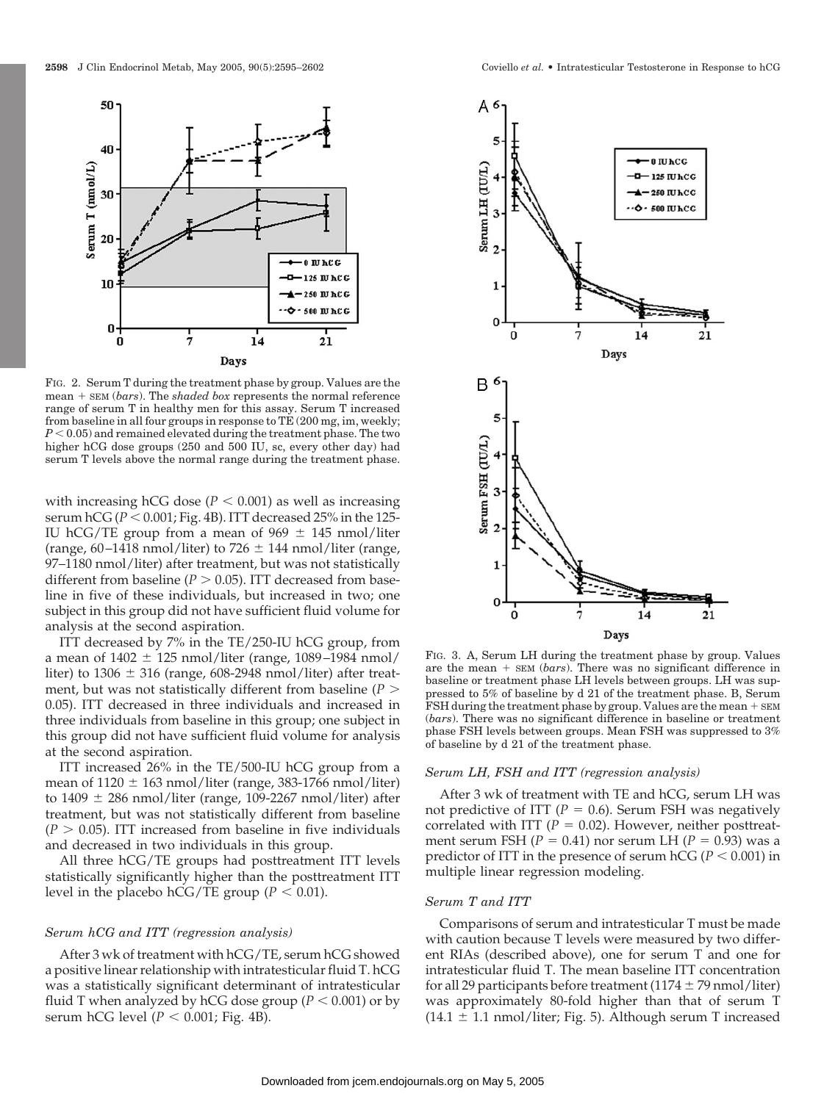

FIG. 2. Serum T during the treatment phase by group. Values are the mean + SEM (*bars*). The *shaded box* represents the normal reference range of serum T in healthy men for this assay. Serum T increased from baseline in all four groups in response to TE (200 mg, im, weekly;  $P < 0.05$ ) and remained elevated during the treatment phase. The two higher hCG dose groups  $(250 \text{ and } 500 \text{ IU}, \text{sc}, \text{every other day})$  had serum T levels above the normal range during the treatment phase.

with increasing hCG dose  $(P < 0.001)$  as well as increasing serum  $\text{hCG}$  ( $P < 0.001$ ; Fig. 4B). ITT decreased 25% in the 125-IU hCG/TE group from a mean of  $969 \pm 145$  nmol/liter (range, 60–1418 nmol/liter) to 726  $\pm$  144 nmol/liter (range, 97–1180 nmol/liter) after treatment, but was not statistically different from baseline ( $P > 0.05$ ). ITT decreased from baseline in five of these individuals, but increased in two; one subject in this group did not have sufficient fluid volume for analysis at the second aspiration.

ITT decreased by 7% in the TE/250-IU hCG group, from a mean of  $1402 \pm 125$  nmol/liter (range, 1089–1984 nmol/ liter) to  $1306 \pm 316$  (range, 608-2948 nmol/liter) after treatment, but was not statistically different from baseline ( $P >$ 0.05). ITT decreased in three individuals and increased in three individuals from baseline in this group; one subject in this group did not have sufficient fluid volume for analysis at the second aspiration.

ITT increased 26% in the TE/500-IU hCG group from a mean of  $1120 \pm 163$  nmol/liter (range, 383-1766 nmol/liter) to  $1409 \pm 286$  nmol/liter (range, 109-2267 nmol/liter) after treatment, but was not statistically different from baseline  $(P > 0.05)$ . ITT increased from baseline in five individuals and decreased in two individuals in this group.

All three hCG/TE groups had posttreatment ITT levels statistically significantly higher than the posttreatment ITT level in the placebo hCG/TE group ( $P < 0.01$ ).

## *Serum hCG and ITT (regression analysis)*

After 3 wk of treatment with hCG/TE, serum hCG showed a positive linear relationship with intratesticular fluid T. hCG was a statistically significant determinant of intratesticular fluid T when analyzed by hCG dose group ( $P < 0.001$ ) or by serum hCG level ( $P < 0.001$ ; Fig. 4B).



FIG. 3. A, Serum LH during the treatment phase by group. Values are the mean  $+$  sem (*bars*). There was no significant difference in baseline or treatment phase LH levels between groups. LH was suppressed to 5% of baseline by d 21 of the treatment phase. B, Serum FSH during the treatment phase by group. Values are the mean  $+$  SEM (*bars*). There was no significant difference in baseline or treatment phase FSH levels between groups. Mean FSH was suppressed to 3% of baseline by d 21 of the treatment phase.

## *Serum LH, FSH and ITT (regression analysis)*

After 3 wk of treatment with TE and hCG, serum LH was not predictive of ITT ( $P = 0.6$ ). Serum FSH was negatively correlated with ITT ( $P = 0.02$ ). However, neither posttreatment serum FSH  $(P = 0.41)$  nor serum LH  $(P = 0.93)$  was a predictor of ITT in the presence of serum  $hCG (P < 0.001)$  in multiple linear regression modeling.

## *Serum T and ITT*

Comparisons of serum and intratesticular T must be made with caution because T levels were measured by two different RIAs (described above), one for serum T and one for intratesticular fluid T. The mean baseline ITT concentration for all 29 participants before treatment (1174  $\pm$  79 nmol/liter) was approximately 80-fold higher than that of serum T  $(14.1 \pm 1.1 \text{ nmol/liter}$ ; Fig. 5). Although serum T increased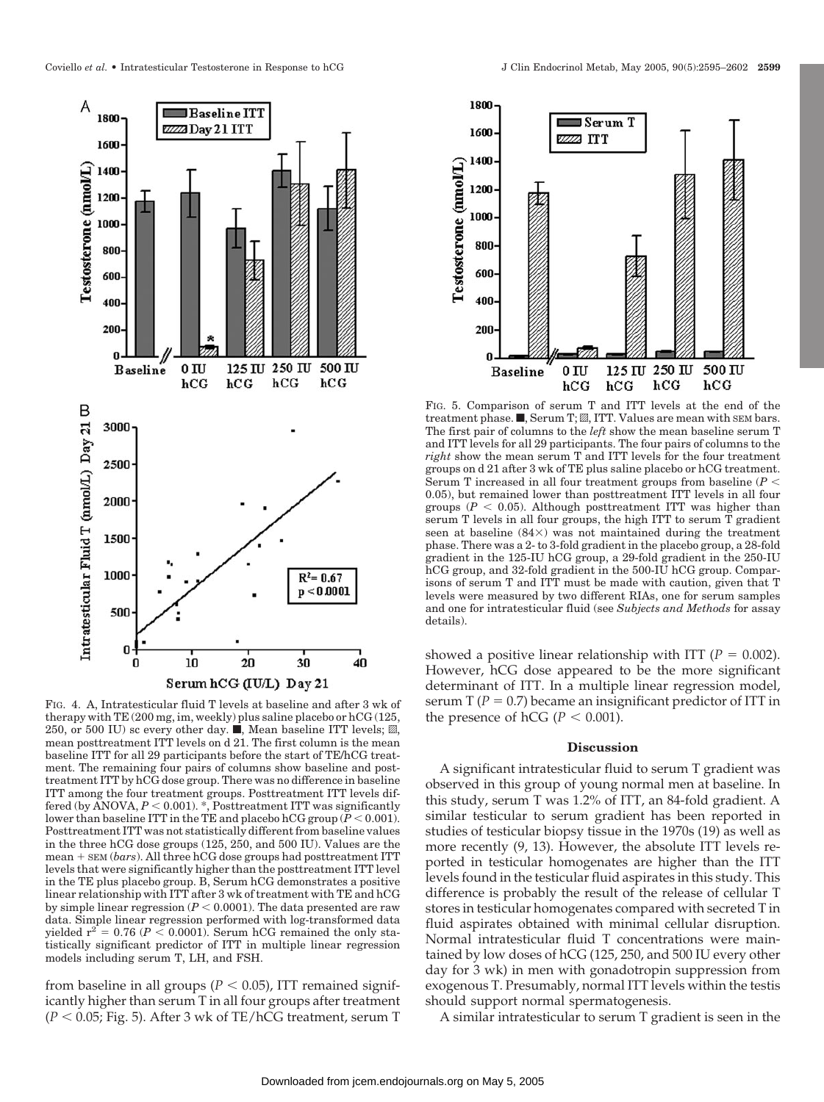

FIG. 4. A, Intratesticular fluid T levels at baseline and after 3 wk of therapy with TE (200 mg, im, weekly) plus saline placebo or hCG (125, 250, or 500 IU) sc every other day.  $\blacksquare$ , Mean baseline ITT levels;  $\mathbb{Z}$ , mean posttreatment ITT levels on d 21. The first column is the mean baseline ITT for all 29 participants before the start of TE/hCG treatment. The remaining four pairs of columns show baseline and posttreatment ITT by hCG dose group. There was no difference in baseline ITT among the four treatment groups. Posttreatment ITT levels differed (by ANOVA,  $P < 0.001$ ).  $\check{\cdot}$ , Posttreatment ITT was significantly lower than baseline ITT in the TE and placebo hCG group  $(P < 0.001)$ . Posttreatment ITT was not statistically different from baseline values in the three hCG dose groups (125, 250, and 500 IU). Values are the  $mean + SEM (bars)$ . All three hCG dose groups had posttreatment ITT levels that were significantly higher than the posttreatment ITT level in the TE plus placebo group. B, Serum hCG demonstrates a positive linear relationship with ITT after 3 wk of treatment with TE and hCG by simple linear regression  $(P < 0.0001)$ . The data presented are raw data. Simple linear regression performed with log-transformed data yielded  $r^2 = 0.76$  ( $P < 0.0001$ ). Serum hCG remained the only statistically significant predictor of ITT in multiple linear regression models including serum T, LH, and FSH.

from baseline in all groups ( $P < 0.05$ ), ITT remained significantly higher than serum T in all four groups after treatment  $(P < 0.05;$  Fig. 5). After 3 wk of TE/hCG treatment, serum T



FIG. 5. Comparison of serum T and ITT levels at the end of the treatment phase.  $\blacksquare$ , Serum T;  $\mathbb Z$ , ITT. Values are mean with SEM bars. The first pair of columns to the *left* show the mean baseline serum T and ITT levels for all 29 participants. The four pairs of columns to the  $right$  show the mean serum T and ITT levels for the four treatment groups on d 21 after 3 wk of TE plus saline placebo or hCG treatment. Serum T increased in all four treatment groups from baseline (*P* 0.05), but remained lower than posttreatment ITT levels in all four groups  $(P < 0.05)$ . Although posttreatment ITT was higher than serum T levels in all four groups, the high ITT to serum T gradient seen at baseline  $(84\times)$  was not maintained during the treatment phase. There was a 2- to 3-fold gradient in the placebo group, a 28-fold gradient in the 125-IU hCG group, a 29-fold gradient in the 250-IU hCG group, and 32-fold gradient in the 500-IU hCG group. Comparisons of serum T and ITT must be made with caution, given that T levels were measured by two different RIAs, one for serum samples and one for intratesticular fluid (see *Subjects and Methods* for assay details).

showed a positive linear relationship with ITT ( $P = 0.002$ ). However, hCG dose appeared to be the more significant determinant of ITT. In a multiple linear regression model, serum  $T(P = 0.7)$  became an insignificant predictor of ITT in the presence of hCG ( $P < 0.001$ ).

## **Discussion**

A significant intratesticular fluid to serum T gradient was observed in this group of young normal men at baseline. In this study, serum T was 1.2% of ITT, an 84-fold gradient. A similar testicular to serum gradient has been reported in studies of testicular biopsy tissue in the 1970s (19) as well as more recently (9, 13). However, the absolute ITT levels reported in testicular homogenates are higher than the ITT levels found in the testicular fluid aspirates in this study. This difference is probably the result of the release of cellular T stores in testicular homogenates compared with secreted T in fluid aspirates obtained with minimal cellular disruption. Normal intratesticular fluid T concentrations were maintained by low doses of hCG (125, 250, and 500 IU every other day for 3 wk) in men with gonadotropin suppression from exogenous T. Presumably, normal ITT levels within the testis should support normal spermatogenesis.

A similar intratesticular to serum T gradient is seen in the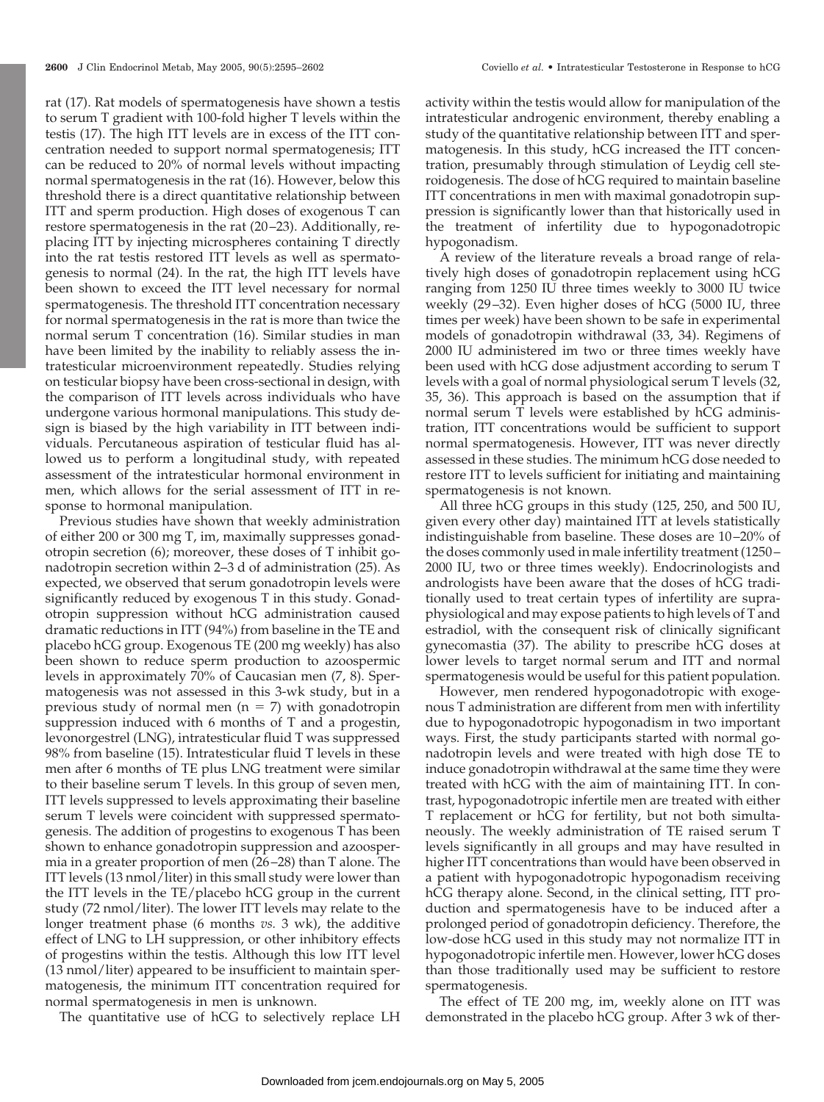rat (17). Rat models of spermatogenesis have shown a testis to serum T gradient with 100-fold higher T levels within the testis (17). The high ITT levels are in excess of the ITT concentration needed to support normal spermatogenesis; ITT can be reduced to 20% of normal levels without impacting normal spermatogenesis in the rat (16). However, below this threshold there is a direct quantitative relationship between ITT and sperm production. High doses of exogenous T can restore spermatogenesis in the rat (20 –23). Additionally, replacing ITT by injecting microspheres containing T directly into the rat testis restored ITT levels as well as spermatogenesis to normal (24). In the rat, the high ITT levels have been shown to exceed the ITT level necessary for normal spermatogenesis. The threshold ITT concentration necessary for normal spermatogenesis in the rat is more than twice the normal serum T concentration (16). Similar studies in man have been limited by the inability to reliably assess the intratesticular microenvironment repeatedly. Studies relying on testicular biopsy have been cross-sectional in design, with the comparison of ITT levels across individuals who have undergone various hormonal manipulations. This study design is biased by the high variability in ITT between individuals. Percutaneous aspiration of testicular fluid has allowed us to perform a longitudinal study, with repeated assessment of the intratesticular hormonal environment in men, which allows for the serial assessment of ITT in response to hormonal manipulation.

Previous studies have shown that weekly administration of either 200 or 300 mg T, im, maximally suppresses gonadotropin secretion (6); moreover, these doses of T inhibit gonadotropin secretion within 2–3 d of administration (25). As expected, we observed that serum gonadotropin levels were significantly reduced by exogenous T in this study. Gonadotropin suppression without hCG administration caused dramatic reductions in ITT (94%) from baseline in the TE and placebo hCG group. Exogenous TE (200 mg weekly) has also been shown to reduce sperm production to azoospermic levels in approximately 70% of Caucasian men (7, 8). Spermatogenesis was not assessed in this 3-wk study, but in a previous study of normal men  $(n = 7)$  with gonadotropin suppression induced with 6 months of T and a progestin, levonorgestrel (LNG), intratesticular fluid T was suppressed 98% from baseline (15). Intratesticular fluid T levels in these men after 6 months of TE plus LNG treatment were similar to their baseline serum T levels. In this group of seven men, ITT levels suppressed to levels approximating their baseline serum T levels were coincident with suppressed spermatogenesis. The addition of progestins to exogenous T has been shown to enhance gonadotropin suppression and azoospermia in a greater proportion of men (26 –28) than T alone. The ITT levels (13 nmol/liter) in this small study were lower than the ITT levels in the TE/placebo hCG group in the current study (72 nmol/liter). The lower ITT levels may relate to the longer treatment phase (6 months *vs.* 3 wk), the additive effect of LNG to LH suppression, or other inhibitory effects of progestins within the testis. Although this low ITT level (13 nmol/liter) appeared to be insufficient to maintain spermatogenesis, the minimum ITT concentration required for normal spermatogenesis in men is unknown.

The quantitative use of hCG to selectively replace LH

activity within the testis would allow for manipulation of the intratesticular androgenic environment, thereby enabling a study of the quantitative relationship between ITT and spermatogenesis. In this study, hCG increased the ITT concentration, presumably through stimulation of Leydig cell steroidogenesis. The dose of hCG required to maintain baseline ITT concentrations in men with maximal gonadotropin suppression is significantly lower than that historically used in the treatment of infertility due to hypogonadotropic hypogonadism.

A review of the literature reveals a broad range of relatively high doses of gonadotropin replacement using hCG ranging from 1250 IU three times weekly to 3000 IU twice weekly (29 –32). Even higher doses of hCG (5000 IU, three times per week) have been shown to be safe in experimental models of gonadotropin withdrawal (33, 34). Regimens of 2000 IU administered im two or three times weekly have been used with hCG dose adjustment according to serum T levels with a goal of normal physiological serum T levels (32, 35, 36). This approach is based on the assumption that if normal serum T levels were established by hCG administration, ITT concentrations would be sufficient to support normal spermatogenesis. However, ITT was never directly assessed in these studies. The minimum hCG dose needed to restore ITT to levels sufficient for initiating and maintaining spermatogenesis is not known.

All three hCG groups in this study (125, 250, and 500 IU, given every other day) maintained ITT at levels statistically indistinguishable from baseline. These doses are 10 –20% of the doses commonly used in male infertility treatment (1250 – 2000 IU, two or three times weekly). Endocrinologists and andrologists have been aware that the doses of hCG traditionally used to treat certain types of infertility are supraphysiological and may expose patients to high levels of T and estradiol, with the consequent risk of clinically significant gynecomastia (37). The ability to prescribe hCG doses at lower levels to target normal serum and ITT and normal spermatogenesis would be useful for this patient population.

However, men rendered hypogonadotropic with exogenous T administration are different from men with infertility due to hypogonadotropic hypogonadism in two important ways. First, the study participants started with normal gonadotropin levels and were treated with high dose TE to induce gonadotropin withdrawal at the same time they were treated with hCG with the aim of maintaining ITT. In contrast, hypogonadotropic infertile men are treated with either T replacement or hCG for fertility, but not both simultaneously. The weekly administration of TE raised serum T levels significantly in all groups and may have resulted in higher ITT concentrations than would have been observed in a patient with hypogonadotropic hypogonadism receiving hCG therapy alone. Second, in the clinical setting, ITT production and spermatogenesis have to be induced after a prolonged period of gonadotropin deficiency. Therefore, the low-dose hCG used in this study may not normalize ITT in hypogonadotropic infertile men. However, lower hCG doses than those traditionally used may be sufficient to restore spermatogenesis.

The effect of TE 200 mg, im, weekly alone on ITT was demonstrated in the placebo hCG group. After 3 wk of ther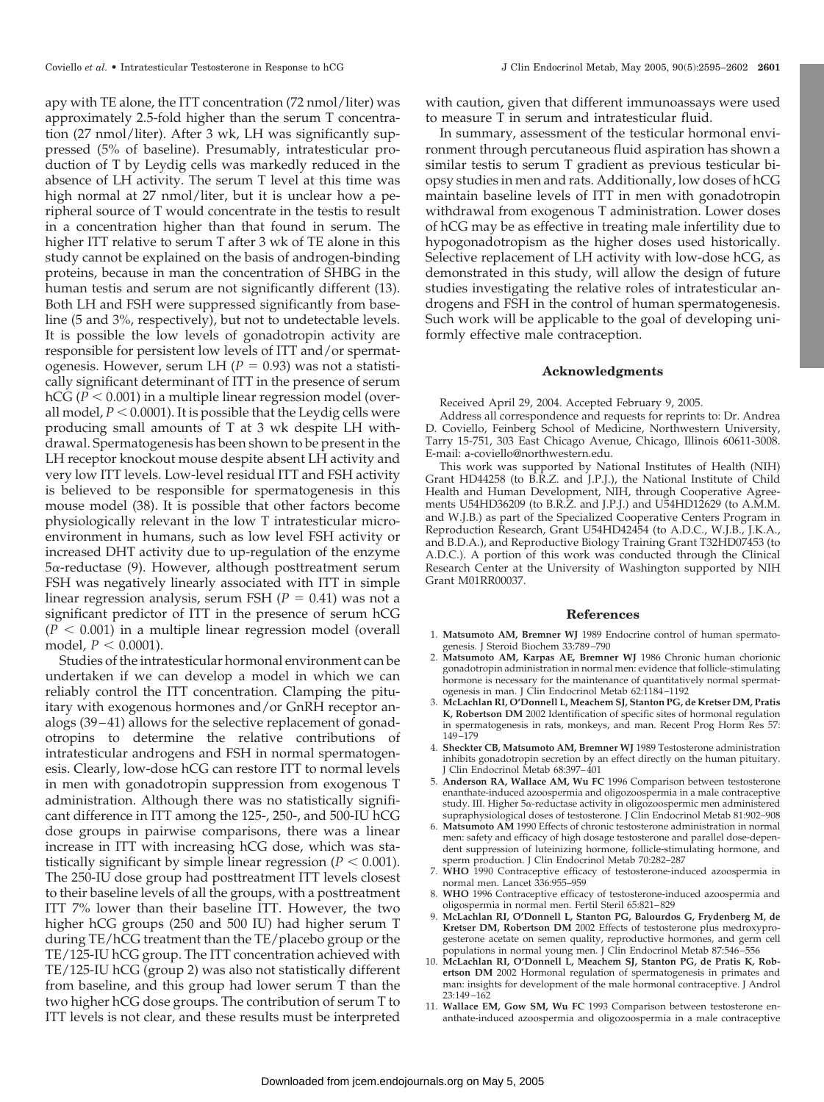apy with TE alone, the ITT concentration (72 nmol/liter) was approximately 2.5-fold higher than the serum T concentration (27 nmol/liter). After 3 wk, LH was significantly suppressed (5% of baseline). Presumably, intratesticular production of T by Leydig cells was markedly reduced in the absence of LH activity. The serum T level at this time was high normal at 27 nmol/liter, but it is unclear how a peripheral source of T would concentrate in the testis to result in a concentration higher than that found in serum. The higher ITT relative to serum T after 3 wk of TE alone in this study cannot be explained on the basis of androgen-binding proteins, because in man the concentration of SHBG in the human testis and serum are not significantly different (13). Both LH and FSH were suppressed significantly from baseline (5 and 3%, respectively), but not to undetectable levels. It is possible the low levels of gonadotropin activity are responsible for persistent low levels of ITT and/or spermatogenesis. However, serum LH ( $P = 0.93$ ) was not a statistically significant determinant of ITT in the presence of serum  $hCG$  ( $P < 0.001$ ) in a multiple linear regression model (overall model,  $P < 0.0001$ ). It is possible that the Leydig cells were producing small amounts of T at 3 wk despite LH withdrawal. Spermatogenesis has been shown to be present in the LH receptor knockout mouse despite absent LH activity and very low ITT levels. Low-level residual ITT and FSH activity is believed to be responsible for spermatogenesis in this mouse model (38). It is possible that other factors become physiologically relevant in the low T intratesticular microenvironment in humans, such as low level FSH activity or increased DHT activity due to up-regulation of the enzyme  $5\alpha$ -reductase (9). However, although posttreatment serum FSH was negatively linearly associated with ITT in simple linear regression analysis, serum FSH  $(P = 0.41)$  was not a significant predictor of ITT in the presence of serum hCG  $(P < 0.001)$  in a multiple linear regression model (overall model,  $P < 0.0001$ ).

Studies of the intratesticular hormonal environment can be undertaken if we can develop a model in which we can reliably control the ITT concentration. Clamping the pituitary with exogenous hormones and/or GnRH receptor analogs (39 – 41) allows for the selective replacement of gonadotropins to determine the relative contributions of intratesticular androgens and FSH in normal spermatogenesis. Clearly, low-dose hCG can restore ITT to normal levels in men with gonadotropin suppression from exogenous T administration. Although there was no statistically significant difference in ITT among the 125-, 250-, and 500-IU hCG dose groups in pairwise comparisons, there was a linear increase in ITT with increasing hCG dose, which was statistically significant by simple linear regression  $(P < 0.001)$ . The 250-IU dose group had posttreatment ITT levels closest to their baseline levels of all the groups, with a posttreatment ITT 7% lower than their baseline ITT. However, the two higher hCG groups (250 and 500 IU) had higher serum T during TE/hCG treatment than the TE/placebo group or the TE/125-IU hCG group. The ITT concentration achieved with TE/125-IU hCG (group 2) was also not statistically different from baseline, and this group had lower serum T than the two higher hCG dose groups. The contribution of serum T to ITT levels is not clear, and these results must be interpreted

with caution, given that different immunoassays were used to measure T in serum and intratesticular fluid.

In summary, assessment of the testicular hormonal environment through percutaneous fluid aspiration has shown a similar testis to serum T gradient as previous testicular biopsy studies in men and rats. Additionally, low doses of hCG maintain baseline levels of ITT in men with gonadotropin withdrawal from exogenous T administration. Lower doses of hCG may be as effective in treating male infertility due to hypogonadotropism as the higher doses used historically. Selective replacement of LH activity with low-dose hCG, as demonstrated in this study, will allow the design of future studies investigating the relative roles of intratesticular androgens and FSH in the control of human spermatogenesis. Such work will be applicable to the goal of developing uniformly effective male contraception.

#### **Acknowledgments**

Received April 29, 2004. Accepted February 9, 2005.

Address all correspondence and requests for reprints to: Dr. Andrea D. Coviello, Feinberg School of Medicine, Northwestern University, Tarry 15-751, 303 East Chicago Avenue, Chicago, Illinois 60611-3008. E-mail: a-coviello@northwestern.edu.

This work was supported by National Institutes of Health (NIH) Grant HD44258 (to B.R.Z. and J.P.J.), the National Institute of Child Health and Human Development, NIH, through Cooperative Agreements U54HD36209 (to B.R.Z. and J.P.J.) and U54HD12629 (to A.M.M. and W.J.B.) as part of the Specialized Cooperative Centers Program in Reproduction Research, Grant U54HD42454 (to A.D.C., W.J.B., J.K.A., and B.D.A.), and Reproductive Biology Training Grant T32HD07453 (to A.D.C.). A portion of this work was conducted through the Clinical Research Center at the University of Washington supported by NIH Grant M01RR00037.

#### **References**

- 1. **Matsumoto AM, Bremner WJ** 1989 Endocrine control of human spermatogenesis. J Steroid Biochem 33:789 –790
- 2. **Matsumoto AM, Karpas AE, Bremner WJ** 1986 Chronic human chorionic gonadotropin administration in normal men: evidence that follicle-stimulating hormone is necessary for the maintenance of quantitatively normal spermatogenesis in man. J Clin Endocrinol Metab 62:1184 –1192
- 3. **McLachlan RI, O'Donnell L, Meachem SJ, Stanton PG, de Kretser DM, Pratis K, Robertson DM** 2002 Identification of specific sites of hormonal regulation in spermatogenesis in rats, monkeys, and man. Recent Prog Horm Res 57: 149 –179
- 4. **Sheckter CB, Matsumoto AM, Bremner WJ** 1989 Testosterone administration inhibits gonadotropin secretion by an effect directly on the human pituitary. J Clin Endocrinol Metab 68:397– 401
- 5. **Anderson RA, Wallace AM, Wu FC** 1996 Comparison between testosterone enanthate-induced azoospermia and oligozoospermia in a male contraceptive study. III. Higher 5α-reductase activity in oligozoospermic men administered supraphysiological doses of testosterone. J Clin Endocrinol Metab 81:902–908
- 6. **Matsumoto AM** 1990 Effects of chronic testosterone administration in normal men: safety and efficacy of high dosage testosterone and parallel dose-dependent suppression of luteinizing hormone, follicle-stimulating hormone, and sperm production. J Clin Endocrinol Metab 70:282-287
- 7. **WHO** 1990 Contraceptive efficacy of testosterone-induced azoospermia in normal men. Lancet 336:955–959
- 8. **WHO** 1996 Contraceptive efficacy of testosterone-induced azoospermia and oligospermia in normal men. Fertil Steril 65:821– 829
- 9. **McLachlan RI, O'Donnell L, Stanton PG, Balourdos G, Frydenberg M, de Kretser DM, Robertson DM** 2002 Effects of testosterone plus medroxyprogesterone acetate on semen quality, reproductive hormones, and germ cell populations in normal young men. J Clin Endocrinol Metab 87:546 –556
- 10. **McLachlan RI, O'Donnell L, Meachem SJ, Stanton PG, de Pratis K, Robertson DM** 2002 Hormonal regulation of spermatogenesis in primates and man: insights for development of the male hormonal contraceptive. J Androl 23:149 –162
- 11. **Wallace EM, Gow SM, Wu FC** 1993 Comparison between testosterone enanthate-induced azoospermia and oligozoospermia in a male contraceptive